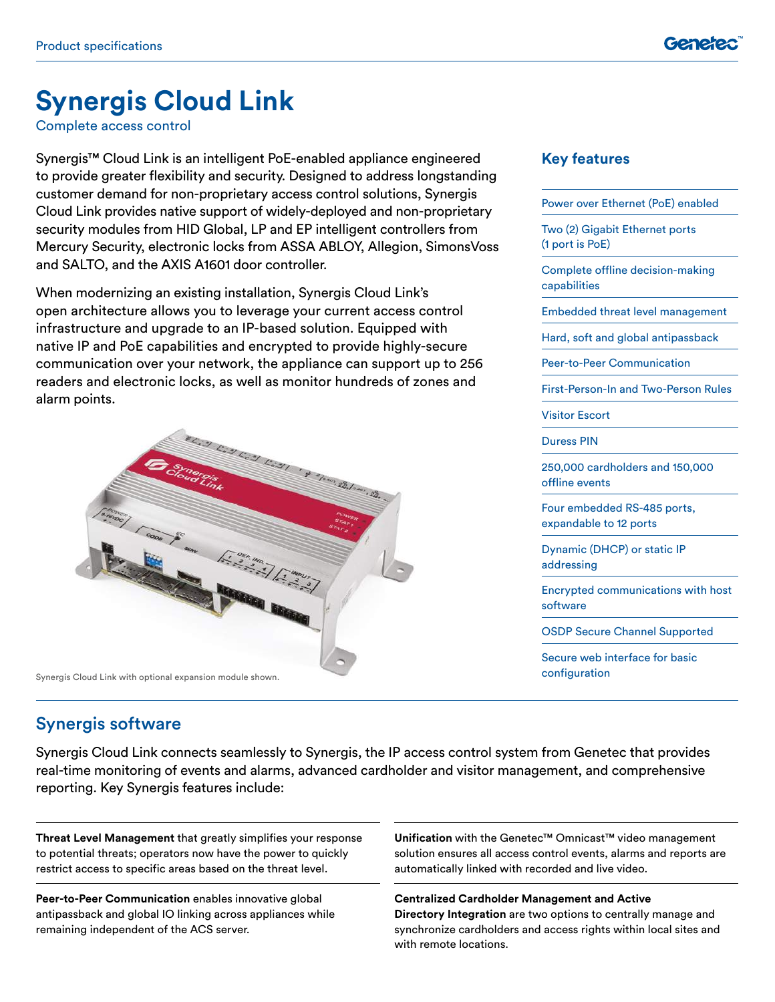# **Synergis Cloud Link**

Complete access control

Synergis™ Cloud Link is an intelligent PoE-enabled appliance engineered to provide greater flexibility and security. Designed to address longstanding customer demand for non-proprietary access control solutions, Synergis Cloud Link provides native support of widely-deployed and non-proprietary security modules from HID Global, LP and EP intelligent controllers from Mercury Security, electronic locks from ASSA ABLOY, Allegion, SimonsVoss and SALTO, and the AXIS A1601 door controller.

When modernizing an existing installation, Synergis Cloud Link's open architecture allows you to leverage your current access control infrastructure and upgrade to an IP-based solution. Equipped with native IP and PoE capabilities and encrypted to provide highly-secure communication over your network, the appliance can support up to 256 readers and electronic locks, as well as monitor hundreds of zones and alarm points.



Synergis Cloud Link with optional expansion module shown.

#### **Key features**

|          | Power over Ethernet (PoE) enabled                     |
|----------|-------------------------------------------------------|
|          | Two (2) Gigabit Ethernet ports<br>(1 port is PoE)     |
|          | Complete offline decision-making<br>capabilities      |
|          | <b>Embedded threat level management</b>               |
|          | Hard, soft and global antipassback                    |
|          | <b>Peer-to-Peer Communication</b>                     |
|          | <b>First-Person-In and Two-Person Rules</b>           |
|          | <b>Visitor Escort</b>                                 |
|          | Duress PIN                                            |
|          | 250,000 cardholders and 150,000<br>offline events     |
|          | Four embedded RS-485 ports,<br>expandable to 12 ports |
|          | Dynamic (DHCP) or static IP<br>addressing             |
| software | <b>Encrypted communications with host</b>             |
|          | <b>OSDP Secure Channel Supported</b>                  |

Secure web interface for basic configuration

#### Synergis software

Synergis Cloud Link connects seamlessly to Synergis, the IP access control system from Genetec that provides real-time monitoring of events and alarms, advanced cardholder and visitor management, and comprehensive reporting. Key Synergis features include:

**Threat Level Management** that greatly simplifies your response to potential threats; operators now have the power to quickly restrict access to specific areas based on the threat level.

**Peer-to-Peer Communication** enables innovative global antipassback and global IO linking across appliances while remaining independent of the ACS server.

**Unification** with the Genetec™ Omnicast™ video management solution ensures all access control events, alarms and reports are automatically linked with recorded and live video.

**Centralized Cardholder Management and Active Directory Integration** are two options to centrally manage and synchronize cardholders and access rights within local sites and with remote locations.